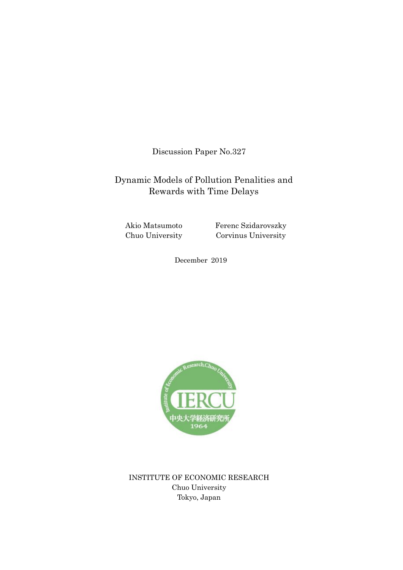Discussion Paper No.327

# Dynamic Models of Pollution Penalities and Rewards with Time Delays

Akio Matsumoto Chuo University

Ferenc Szidarovszky Corvinus University

December 2019



INSTITUTE OF ECONOMIC RESEARCH Chuo University Tokyo, Japan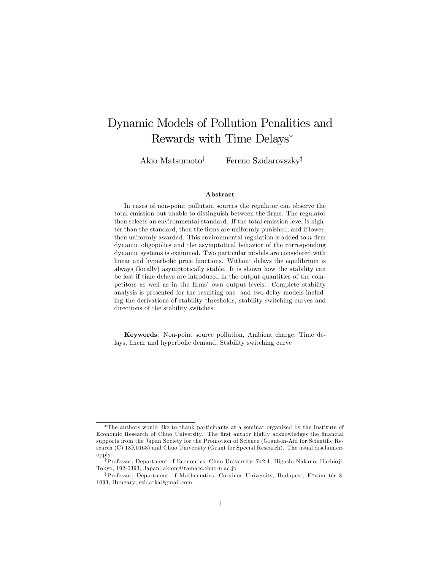# Dynamic Models of Pollution Penalities and Rewards with Time Delays

Akio Matsumoto<sup>†</sup> Ferenc Szidarovszky<sup>‡</sup>

#### Abstract

In cases of non-point pollution sources the regulator can observe the total emission but unable to distinguish between the firms. The regulator then selects an environmental standard. If the total emission level is highter than the standard, then the firms are uniformly punished, and if lower, then uniformly awarded. This environmental regulation is added to  $n$ -firm dynamic oligopolies and the asymptotical behavior of the corresponding dynamic systems is examined. Two particular models are considered with linear and hyperbolic price functions. Without delays the equilibrium is always (locally) asymptotically stable. It is shown how the stability can be lost if time delays are introduced in the output quantities of the competitors as well as in the firms' own output levels. Complete stability analysis is presented for the resulting one- and two-delay models including the derivations of stability thresholds, stability switching curves and directions of the stability switches.

Keywords: Non-point source pollution, Ambient charge, Time delays, linear and hyperbolic demand, Stability switching curve

The authors would like to thank participants at a seminar organized by the Institute of Economic Research of Chuo University. The first author highly acknowledges the financial supports from the Japan Society for the Promotion of Science (Grant-in-Aid for Scientific Research (C) 18K0163) and Chuo University (Grant for Special Research). The usual disclaimers apply.

<sup>&</sup>lt;sup>†</sup>Professor, Department of Economics, Chuo University, 742-1, Higashi-Nakano, Hachio ji, Tokyo, 192-0393, Japan; akiom@tamacc.chuo-u.ac.jp

<sup>&</sup>lt;sup>‡</sup>Professor, Department of Mathematics, Corvinus University, Budapest, Fövám tér 8, 1093, Hungary; szidarka@gmail.com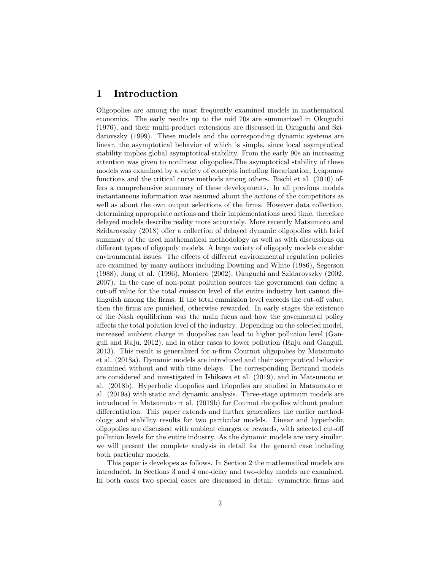## 1 Introduction

Oligopolies are among the most frequently examined models in mathematical economics. The early results up to the mid 70s are summarized in Okuguchi (1976), and their multi-product extensions are discussed in Okuguchi and Szidarovszky (1999). These models and the corresponding dynamic systems are linear, the asymptotical behavior of which is simple, since local asymptotical stability implies global asymptotical stability. From the early 90s an increasing attention was given to nonlinear oligopolies.The asymptotical stability of these models was examined by a variety of concepts including linearization, Lyapunov functions and the critical curve methods among others. Bischi et al. (2010) offers a comprehensive summary of these developments. In all previous models instantaneous information was assumed about the actions of the competitors as well as about the own output selections of the firms. However data collection, determining appropriate actions and their implementations need time, therefore delayed models describe reality more accurately. More recently Matsumoto and Szidarovszky (2018) offer a collection of delayed dynamic oligopolies with brief summary of the used mathematical methodology as well as with discussions on different types of oligopoly models. A large variety of oligopoly models consider environmental issues. The effects of different environmental regulation policies are examined by many authors including Downing and White (1986), Segerson (1988), Jung et al. (1996), Montero (2002), Okuguchi and Szidarovszky (2002,  $2007$ . In the case of non-point pollution sources the government can define a cut-off value for the total emission level of the entire industry but cannot distinguish among the firms. If the total emmission level exceeds the cut-off value, then the firms are punished, otherwise rewarded. In early stages the existence of the Nash equilibrium was the main fucus and how the govenmental policy a§ects the total polution level of the industry. Depending on the selected model, increased ambient charge in duopolies can lead to higher pollution level (Ganguli and Raju, 2012), and in other cases to lower pollution (Raju and Ganguli, 2013). This result is generalized for n-firm Cournot oligopolies by Matsumoto et al. (2018a). Dynamic models are introduced and their asymptotical behavior examined without and with time delays. The corresponding Bertrand models are considered and investigated in Ishikawa et al. (2019), and in Matsumoto et al. (2018b). Hyperbolic duopolies and triopolies are studied in Matsumoto et al. (2019a) with static and dynamic analysis. Three-stage optimum models are introduced in Matsumoto rt al. (2019b) for Cournot duopolies without product differentiation. This paper extends and further generalizes the earlier methodology and stability results for two particular models. Linear and hyperbolic oligopolies are discussed with ambient charges or rewards, with selected cut-off pollution levels for the entire industry. As the dynamic models are very similar, we will present the complete analysis in detail for the general case including both particular models.

This paper is developes as follows. In Section 2 the mathematical models are introduced. In Sections 3 and 4 one-delay and two-delay models are examined. In both cases two special cases are discussed in detail: symmetric Örms and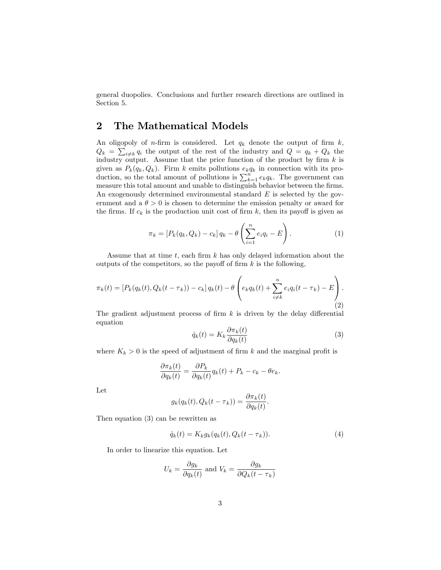general duopolies. Conclusions and further research directions are outlined in Section 5.

## 2 The Mathematical Models

An oligopoly of *n*-firm is considered. Let  $q_k$  denote the output of firm  $k$ ,  $Q_k = \sum_{i \neq k} q_i$  the output of the rest of the industry and  $Q = q_k + Q_k$  the industry output. Assume that the price function of the product by firm  $k$  is given as  $P_k(q_k, Q_k)$ . Firm k emits pollutions  $e_kq_k$  in connection with its production, so the total amount of pollutions is  $\sum_{k=1}^{n} e_k q_k$ . The government can measure this total amount and unable to distinguish behavior between the firms. An exogenously determined environmental standard  $E$  is selected by the government and a  $\theta > 0$  is chosen to determine the emission penalty or award for the firms. If  $c_k$  is the production unit cost of firm k, then its payoff is given as

$$
\pi_k = [P_k(q_k, Q_k) - c_k] q_k - \theta \left( \sum_{i=1}^n e_i q_i - E \right).
$$
 (1)

Assume that at time  $t$ , each firm  $k$  has only delayed information about the outputs of the competitors, so the payoff of firm  $k$  is the following,

$$
\pi_k(t) = [P_k(q_k(t), Q_k(t - \tau_k)) - c_k] q_k(t) - \theta \left( e_k q_k(t) + \sum_{i \neq k}^n e_i q_i(t - \tau_k) - E \right).
$$
\n(2)

The gradient adjustment process of firm  $k$  is driven by the delay differential equation

$$
\dot{q}_k(t) = K_k \frac{\partial \pi_k(t)}{\partial q_k(t)}\tag{3}
$$

where  $K_k > 0$  is the speed of adjustment of firm k and the marginal profit is

$$
\frac{\partial \pi_k(t)}{\partial q_k(t)} = \frac{\partial P_k}{\partial q_k(t)} q_k(t) + P_k - c_k - \theta e_k.
$$

Let

$$
g_k(q_k(t), Q_k(t-\tau_k)) = \frac{\partial \pi_k(t)}{\partial q_k(t)}.
$$

Then equation (3) can be rewritten as

$$
\dot{q}_k(t) = K_k g_k(q_k(t), Q_k(t - \tau_k)).\tag{4}
$$

In order to linearize this equation. Let

$$
U_k = \frac{\partial g_k}{\partial q_k(t)}
$$
 and  $V_k = \frac{\partial g_k}{\partial Q_k(t - \tau_k)}$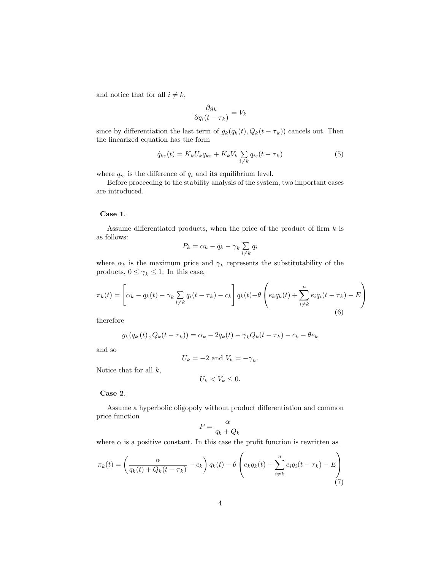and notice that for all  $i \neq k$ ,

$$
\frac{\partial g_k}{\partial q_i(t-\tau_k)} = V_k
$$

since by differentiation the last term of  $g_k(q_k(t), Q_k(t - \tau_k))$  cancels out. Then the linearized equation has the form

$$
\dot{q}_{k\varepsilon}(t) = K_k U_k q_{k\varepsilon} + K_k V_k \sum_{i \neq k} q_{i\varepsilon}(t - \tau_k)
$$
\n<sup>(5)</sup>

where  $q_{i\varepsilon}$  is the difference of  $q_i$  and its equilibrium level.

Before proceeding to the stability analysis of the system, two important cases are introduced.

#### Case 1.

Assume differentiated products, when the price of the product of firm  $k$  is as follows:

$$
P_k = \alpha_k - q_k - \gamma_k \sum_{i \neq k} q_i
$$

where  $\alpha_k$  is the maximum price and  $\gamma_k$  represents the substitutability of the products,  $0 \leq \gamma_k \leq 1$ . In this case,

$$
\pi_k(t) = \left[\alpha_k - q_k(t) - \gamma_k \sum_{i \neq k} q_i(t - \tau_k) - c_k\right] q_k(t) - \theta \left(e_k q_k(t) + \sum_{i \neq k}^n e_i q_i(t - \tau_k) - E\right)
$$
\n(6)

therefore

$$
g_k(q_k(t), Q_k(t-\tau_k)) = \alpha_k - 2q_k(t) - \gamma_k Q_k(t-\tau_k) - c_k - \theta e_k
$$

and so

$$
U_k = -2 \text{ and } V_h = -\gamma_k.
$$

Notice that for all  $k$ ,

$$
U_k < V_k \leq 0.
$$

Case 2.

Assume a hyperbolic oligopoly without product differentiation and common price function  $\alpha$ 

$$
P = \frac{\alpha}{q_k + Q_k}
$$

where  $\alpha$  is a positive constant. In this case the profit function is rewritten as

$$
\pi_k(t) = \left(\frac{\alpha}{q_k(t) + Q_k(t - \tau_k)} - c_k\right) q_k(t) - \theta \left(e_k q_k(t) + \sum_{i \neq k}^n e_i q_i(t - \tau_k) - E\right)
$$
\n(7)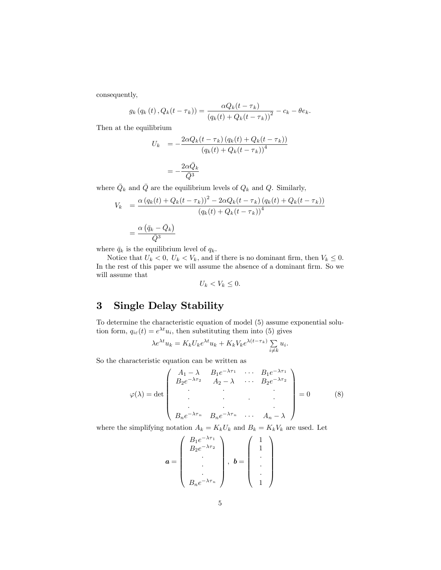consequently,

$$
g_k(q_k(t), Q_k(t-\tau_k)) = \frac{\alpha Q_k(t-\tau_k)}{(q_k(t) + Q_k(t-\tau_k))^2} - c_k - \theta e_k.
$$

Then at the equilibrium

$$
U_k = -\frac{2\alpha Q_k(t - \tau_k) (q_k(t) + Q_k(t - \tau_k))}{(q_k(t) + Q_k(t - \tau_k))^4}
$$

$$
= -\frac{2\alpha \bar{Q}_k}{\bar{Q}^3}
$$

where  $\overline{Q}_k$  and  $\overline{Q}$  are the equilibrium levels of  $Q_k$  and  $Q$ . Similarly,

$$
V_k = \frac{\alpha (q_k(t) + Q_k(t - \tau_k))^2 - 2\alpha Q_k(t - \tau_k) (q_k(t) + Q_k(t - \tau_k))}{(q_k(t) + Q_k(t - \tau_k))^4}
$$

$$
= \frac{\alpha (\bar{q}_k - \bar{Q}_k)}{\bar{Q}^3}
$$

where  $\bar{q}_k$  is the equilibrium level of  $q_k$ .

Notice that  $U_k < 0$ ,  $U_k < V_k$ , and if there is no dominant firm, then  $V_k \leq 0$ . In the rest of this paper we will assume the absence of a dominant firm. So we will assume that

$$
U_k < V_k \leq 0.
$$

# 3 Single Delay Stability

To determine the characteristic equation of model (5) assume exponential solution form,  $q_{i\varepsilon}(t) = e^{\lambda t} u_i$ , then substituting them into (5) gives

$$
\lambda e^{\lambda t} u_k = K_k U_k e^{\lambda t} u_k + K_k V_k e^{\lambda (t - \tau_k)} \sum_{i \neq k} u_i.
$$

So the characteristic equation can be written as

$$
\varphi(\lambda) = \det \begin{pmatrix} A_1 - \lambda & B_1 e^{-\lambda \tau_1} & \cdots & B_1 e^{-\lambda \tau_1} \\ B_2 e^{-\lambda \tau_2} & A_2 - \lambda & \cdots & B_2 e^{-\lambda \tau_2} \\ \vdots & \vdots & \ddots & \vdots \\ B_n e^{-\lambda \tau_n} & B_n e^{-\lambda \tau_n} & \cdots & A_n - \lambda \end{pmatrix} = 0 \quad (8)
$$

where the simplifying notation  $A_k = K_k U_k$  and  $B_k = K_k V_k$  are used. Let

$$
\boldsymbol{a} = \begin{pmatrix} B_1 e^{-\lambda \tau_1} \\ B_2 e^{-\lambda \tau_2} \\ \cdot \\ \cdot \\ B_n e^{-\lambda \tau_n} \end{pmatrix}, \ \boldsymbol{b} = \begin{pmatrix} 1 \\ 1 \\ \cdot \\ \cdot \\ \cdot \\ 1 \end{pmatrix}
$$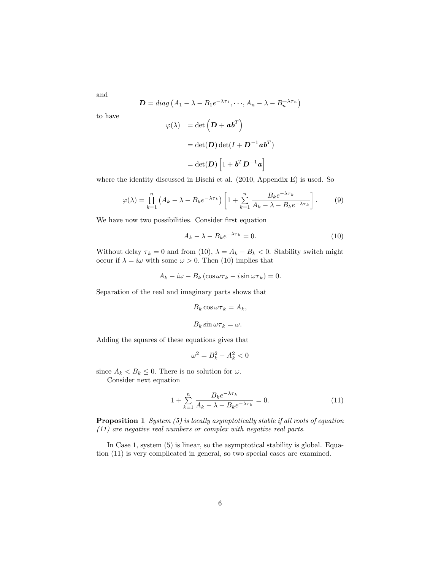and

to have

$$
\mathbf{D} = diag (A_1 - \lambda - B_1 e^{-\lambda \tau_1}, \dots, A_n - \lambda - B_n^{-\lambda \tau_n})
$$

$$
\varphi(\lambda) = \det (\mathbf{D} + \mathbf{a} \mathbf{b}^T)
$$

$$
= \det(\mathbf{D}) \det(I + \mathbf{D}^{-1} \mathbf{a} \mathbf{b}^T)
$$

$$
=\det(\boldsymbol{D})\left[1+\boldsymbol{b}^T\boldsymbol{D}^{-1}\boldsymbol{a}\right]
$$

where the identity discussed in Bischi et al. (2010, Appendix E) is used. So

$$
\varphi(\lambda) = \prod_{k=1}^{n} \left( A_k - \lambda - B_k e^{-\lambda \tau_k} \right) \left[ 1 + \sum_{k=1}^{n} \frac{B_k e^{-\lambda \tau_k}}{A_k - \lambda - B_k e^{-\lambda \tau_k}} \right]. \tag{9}
$$

We have now two possibilities. Consider first equation

$$
A_k - \lambda - B_k e^{-\lambda \tau_k} = 0.
$$
\n(10)

Without delay  $\tau_k = 0$  and from (10),  $\lambda = A_k - B_k < 0$ . Stability switch might occur if  $\lambda = i\omega$  with some  $\omega > 0$ . Then (10) implies that

$$
A_k - i\omega - B_k \left(\cos \omega \tau_k - i \sin \omega \tau_k\right) = 0.
$$

Separation of the real and imaginary parts shows that

$$
B_k \cos \omega \tau_k = A_k,
$$
  

$$
B_k \sin \omega \tau_k = \omega.
$$

Adding the squares of these equations gives that

$$
\omega^2 = B_k^2 - A_k^2 < 0
$$

since  $A_k < B_k \leq 0$ . There is no solution for  $\omega$ .

Consider next equation

$$
1 + \sum_{k=1}^{n} \frac{B_k e^{-\lambda \tau_k}}{A_k - \lambda - B_k e^{-\lambda \tau_k}} = 0.
$$
 (11)

**Proposition 1** System  $(5)$  is locally asymptotically stable if all roots of equation (11) are negative real numbers or complex with negative real parts.

In Case 1, system  $(5)$  is linear, so the asymptotical stability is global. Equation (11) is very complicated in general, so two special cases are examined.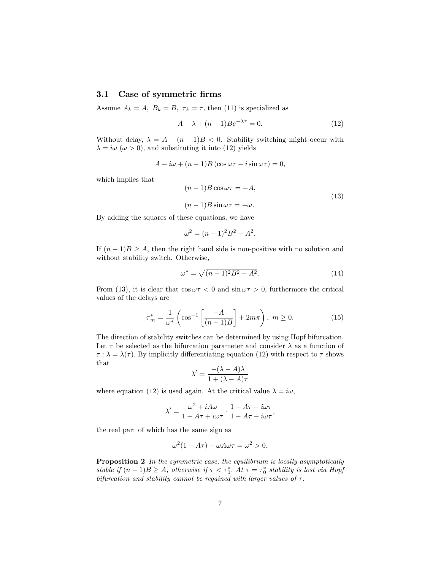## 3.1 Case of symmetric firms

Assume  $A_k = A$ ,  $B_k = B$ ,  $\tau_k = \tau$ , then (11) is specialized as

$$
A - \lambda + (n - 1)Be^{-\lambda \tau} = 0.
$$
 (12)

Without delay,  $\lambda = A + (n-1)B < 0$ . Stability switching might occur with  $\lambda = i\omega \ (\omega > 0)$ , and substituting it into (12) yields

$$
A - i\omega + (n - 1)B(\cos \omega \tau - i\sin \omega \tau) = 0,
$$

which implies that

$$
(n-1)B\cos\omega\tau = -A,
$$
  

$$
(n-1)B\sin\omega\tau = -\omega.
$$
 (13)

By adding the squares of these equations, we have

$$
\omega^2 = (n-1)^2 B^2 - A^2.
$$

If  $(n-1)B \geq A$ , then the right hand side is non-positive with no solution and without stability switch. Otherwise,

$$
\omega^* = \sqrt{(n-1)^2 B^2 - A^2}.\tag{14}
$$

From (13), it is clear that  $\cos \omega \tau < 0$  and  $\sin \omega \tau > 0$ , furthermore the critical values of the delays are

$$
\tau_m^* = \frac{1}{\omega^*} \left( \cos^{-1} \left[ \frac{-A}{(n-1)B} \right] + 2m\pi \right), \ m \ge 0. \tag{15}
$$

The direction of stability switches can be determined by using Hopf bifurcation. Let  $\tau$  be selected as the bifurcation parameter and consider  $\lambda$  as a function of  $\tau : \lambda = \lambda(\tau)$ . By implicitly differentiating equation (12) with respect to  $\tau$  shows that

$$
\lambda' = \frac{-(\lambda - A)\lambda}{1 + (\lambda - A)\tau}
$$

where equation (12) is used again. At the critical value  $\lambda = i\omega$ ,

$$
\lambda' = \frac{\omega^2 + iA\omega}{1 - A\tau + i\omega\tau} \cdot \frac{1 - A\tau - i\omega\tau}{1 - A\tau - i\omega\tau},
$$

the real part of which has the same sign as

$$
\omega^2(1 - A\tau) + \omega A \omega \tau = \omega^2 > 0.
$$

**Proposition 2** In the symmetric case, the equilibrium is locally asymptotically stable if  $(n-1)B \geq A$ , otherwise if  $\tau < \tau_0^*$ . At  $\tau = \tau_0^*$  stability is lost via Hopf bifurcation and stability cannot be regained with larger values of  $\tau$ .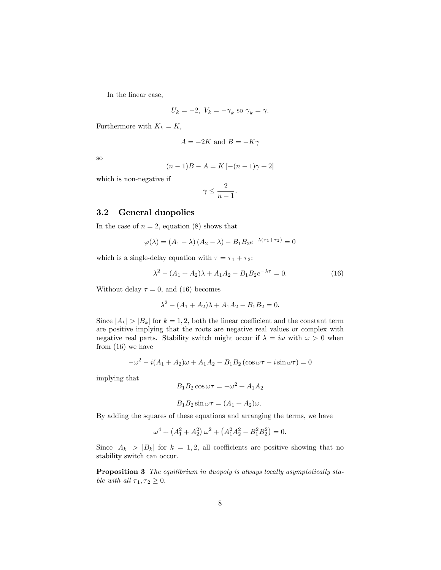In the linear case,

$$
U_k = -2, V_k = -\gamma_k \text{ so } \gamma_k = \gamma.
$$

Furthermore with  $K_k = K$ ,

$$
A = -2K
$$
 and 
$$
B = -K\gamma
$$

so

$$
(n-1)B - A = K [-(n-1)\gamma + 2]
$$

which is non-negative if

$$
\gamma \leq \frac{2}{n-1}.
$$

## 3.2 General duopolies

In the case of  $n = 2$ , equation (8) shows that

$$
\varphi(\lambda) = (A_1 - \lambda) (A_2 - \lambda) - B_1 B_2 e^{-\lambda(\tau_1 + \tau_2)} = 0
$$

which is a single-delay equation with  $\tau = \tau_1 + \tau_2$ :

$$
\lambda^2 - (A_1 + A_2)\lambda + A_1A_2 - B_1B_2e^{-\lambda \tau} = 0.
$$
 (16)

Without delay  $\tau = 0$ , and (16) becomes

$$
\lambda^2 - (A_1 + A_2)\lambda + A_1A_2 - B_1B_2 = 0.
$$

Since  $|A_k| > |B_k|$  for  $k = 1, 2$ , both the linear coefficient and the constant term are positive implying that the roots are negative real values or complex with negative real parts. Stability switch might occur if  $\lambda = i\omega$  with  $\omega > 0$  when from (16) we have

$$
-\omega^{2} - i(A_{1} + A_{2})\omega + A_{1}A_{2} - B_{1}B_{2}(\cos \omega \tau - i\sin \omega \tau) = 0
$$

implying that

$$
B_1 B_2 \cos \omega \tau = -\omega^2 + A_1 A_2
$$

$$
B_1B_2\sin\omega\tau = (A_1 + A_2)\omega.
$$

By adding the squares of these equations and arranging the terms, we have

$$
\omega^4 + (A_1^2 + A_2^2) \omega^2 + (A_1^2 A_2^2 - B_1^2 B_2^2) = 0.
$$

Since  $|A_k| > |B_k|$  for  $k = 1, 2$ , all coefficients are positive showing that no stability switch can occur.

Proposition 3 The equilibrium in duopoly is always locally asymptotically stable with all  $\tau_1, \tau_2 \geq 0$ .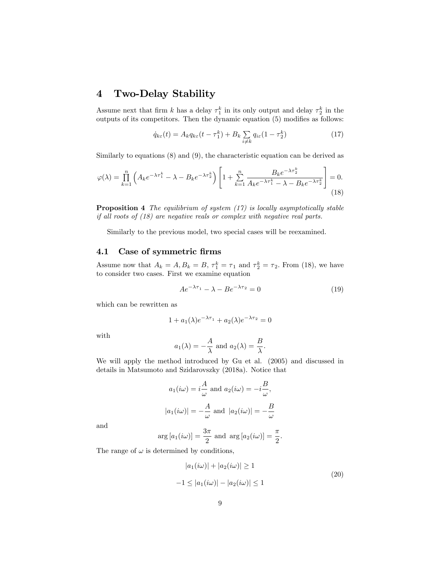# 4 Two-Delay Stability

Assume next that firm k has a delay  $\tau_1^k$  in its only output and delay  $\tau_2^k$  in the outputs of its competitors. Then the dynamic equation  $(5)$  modifies as follows:

$$
\dot{q}_{k\varepsilon}(t) = A_k q_{k\varepsilon}(t - \tau_1^k) + B_k \sum_{i \neq k} q_{i\varepsilon}(1 - \tau_2^k)
$$
\n(17)

Similarly to equations (8) and (9), the characteristic equation can be derived as

$$
\varphi(\lambda) = \prod_{k=1}^{n} \left( A_k e^{-\lambda \tau_1^k} - \lambda - B_k e^{-\lambda \tau_2^k} \right) \left[ 1 + \sum_{k=1}^{n} \frac{B_k e^{-\lambda \tau_2^k}}{A_k e^{-\lambda \tau_1^k} - \lambda - B_k e^{-\lambda \tau_2^k}} \right] = 0.
$$
\n(18)

**Proposition 4** The equilibrium of system  $(17)$  is locally asymptotically stable if all roots of (18) are negative reals or complex with negative real parts.

Similarly to the previous model, two special cases will be reexamined.

## 4.1 Case of symmetric firms

Assume now that  $A_k = A, B_k = B, \tau_1^k = \tau_1$  and  $\tau_2^k = \tau_2$ . From (18), we have to consider two cases. First we examine equation

$$
Ae^{-\lambda \tau_1} - \lambda - Be^{-\lambda \tau_2} = 0 \tag{19}
$$

which can be rewritten as

$$
1 + a_1(\lambda)e^{-\lambda \tau_1} + a_2(\lambda)e^{-\lambda \tau_2} = 0
$$

with

$$
a_1(\lambda) = -\frac{A}{\lambda}
$$
 and  $a_2(\lambda) = \frac{B}{\lambda}$ .

We will apply the method introduced by Gu et al. (2005) and discussed in details in Matsumoto and Szidarovszky (2018a). Notice that

$$
a_1(i\omega) = i\frac{A}{\omega}
$$
 and  $a_2(i\omega) = -i\frac{B}{\omega}$ ,  
 $|a_1(i\omega)| = -\frac{A}{\omega}$  and  $|a_2(i\omega)| = -\frac{B}{\omega}$ 

and

$$
\arg\left[a_1(i\omega)\right] = \frac{3\pi}{2} \text{ and } \arg\left[a_2(i\omega)\right] = \frac{\pi}{2}.
$$

The range of  $\omega$  is determined by conditions,

$$
|a_1(i\omega)| + |a_2(i\omega)| \ge 1
$$
  

$$
-1 \le |a_1(i\omega)| - |a_2(i\omega)| \le 1
$$
 (20)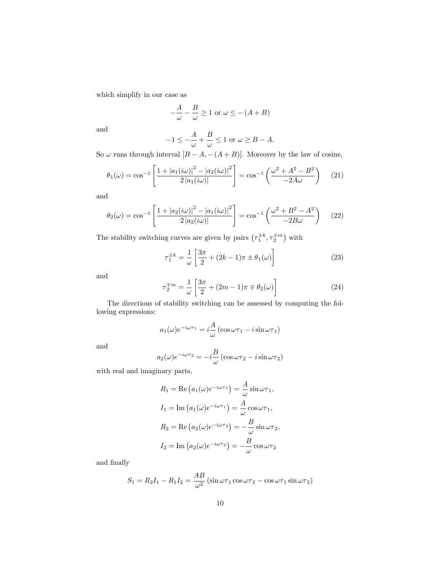which simplify in our case as

$$
-\frac{A}{\omega} - \frac{B}{\omega} \ge 1 \text{ or } \omega \le -(A+B)
$$

and

$$
-1 \le -\frac{A}{\omega} + \frac{B}{\omega} \le 1 \text{ or } \omega \ge B - A.
$$

So  $\omega$  runs through interval  $[B - A, -(A + B)].$  Moreover by the law of cosine,

$$
\theta_1(\omega) = \cos^{-1}\left[\frac{1 + |a_1(i\omega)|^2 - |a_2(i\omega)|^2}{2|a_1(i\omega)|}\right] = \cos^{-1}\left(\frac{\omega^2 + A^2 - B^2}{-2A\omega}\right) \tag{21}
$$

and

$$
\theta_2(\omega) = \cos^{-1}\left[\frac{1 + |a_2(i\omega)|^2 - |a_1(i\omega)|^2}{2|a_2(i\omega)|}\right] = \cos^{-1}\left(\frac{\omega^2 + B^2 - A^2}{-2B\omega}\right) \tag{22}
$$

The stability switching curves are given by pairs  $(\tau_1^{\pm k}, \tau_2^{\mp m})$  with

$$
\tau_1^{\pm k} = \frac{1}{\omega} \left[ \frac{3\pi}{2} + (2k - 1)\pi \pm \theta_1(\omega) \right] \tag{23}
$$

and

$$
\tau_2^{\mp m} = \frac{1}{\omega} \left[ \frac{3\pi}{2} + (2m - 1)\pi \mp \theta_2(\omega) \right] \tag{24}
$$

The directions of stability switching can be assessed by computing the following expressions:

$$
a_1(\omega)e^{-i\omega\tau_1} = i\frac{A}{\omega}(\cos\omega\tau_1 - i\sin\omega\tau_1)
$$

and

$$
a_2(\omega)e^{-i\omega\tau_2} = -i\frac{B}{\omega}(\cos \omega\tau_2 - i\sin \omega\tau_2)
$$

with real and imaginary parts,

$$
R_1 = \text{Re}\left(a_1(\omega)e^{-i\omega\tau_1}\right) = \frac{A}{\omega}\sin \omega\tau_1,
$$
  
\n
$$
I_1 = \text{Im}\left(a_1(\omega)e^{-i\omega\tau_1}\right) = \frac{A}{\omega}\cos \omega\tau_1,
$$
  
\n
$$
R_2 = \text{Re}\left(a_2(\omega)e^{-i\omega\tau_2}\right) = -\frac{B}{\omega}\sin \omega\tau_2,
$$
  
\n
$$
I_2 = \text{Im}\left(a_2(\omega)e^{-i\omega\tau_2}\right) = -\frac{B}{\omega}\cos \omega\tau_2
$$

and finally

$$
S_1 = R_2 I_1 - R_1 I_2 = \frac{AB}{\omega^2} \left( \sin \omega \tau_1 \cos \omega \tau_2 - \cos \omega \tau_1 \sin \omega \tau_2 \right)
$$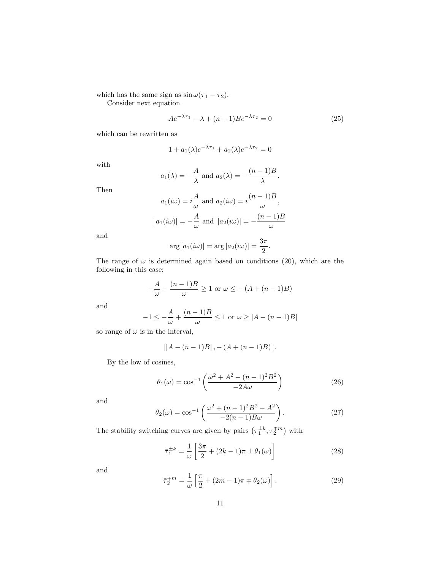which has the same sign as  $\sin \omega (\tau_1 - \tau_2)$ .

Consider next equation

$$
Ae^{-\lambda \tau_1} - \lambda + (n-1)Be^{-\lambda \tau_2} = 0
$$
 (25)

which can be rewritten as

$$
1 + a_1(\lambda)e^{-\lambda \tau_1} + a_2(\lambda)e^{-\lambda \tau_2} = 0
$$

with

$$
a_1(\lambda) = -\frac{A}{\lambda}
$$
 and  $a_2(\lambda) = -\frac{(n-1)B}{\lambda}$ .

Then

$$
a_1(i\omega) = i\frac{A}{\omega} \text{ and } a_2(i\omega) = i\frac{(n-1)B}{\omega},
$$
  

$$
|a_1(i\omega)| = -\frac{A}{\omega} \text{ and } |a_2(i\omega)| = -\frac{(n-1)B}{\omega}
$$

and

$$
\arg [a_1(i\omega)] = \arg [a_2(i\omega)] = \frac{3\pi}{2}.
$$

The range of  $\omega$  is determined again based on conditions (20), which are the following in this case:

$$
-\frac{A}{\omega} - \frac{(n-1)B}{\omega} \ge 1 \text{ or } \omega \le -(A + (n-1)B)
$$

and

$$
-1 \le -\frac{A}{\omega} + \frac{(n-1)B}{\omega} \le 1 \text{ or } \omega \ge |A - (n-1)B|
$$

so range of  $\omega$  is in the interval,

$$
[|A - (n-1)B|, -(A + (n-1)B)].
$$

By the low of cosines,

$$
\theta_1(\omega) = \cos^{-1}\left(\frac{\omega^2 + A^2 - (n-1)^2 B^2}{-2A\omega}\right)
$$
 (26)

and

$$
\theta_2(\omega) = \cos^{-1}\left(\frac{\omega^2 + (n-1)^2 B^2 - A^2}{-2(n-1)B\omega}\right).
$$
 (27)

The stability switching curves are given by pairs  $(\tau_1^{\pm k}, \tau_2^{\mp m})$  with

$$
\overline{\tau}_1^{\pm k} = \frac{1}{\omega} \left[ \frac{3\pi}{2} + (2k - 1)\pi \pm \theta_1(\omega) \right]
$$
 (28)

and

$$
\bar{\tau}_2^{\mp m} = \frac{1}{\omega} \left[ \frac{\pi}{2} + (2m - 1)\pi \mp \theta_2(\omega) \right]. \tag{29}
$$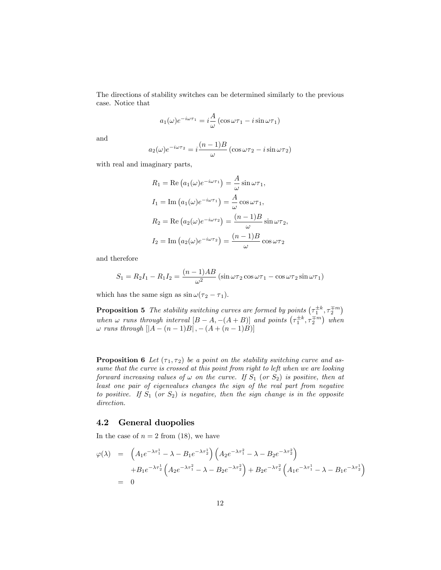The directions of stability switches can be determined similarly to the previous case. Notice that

$$
a_1(\omega)e^{-i\omega\tau_1} = i\frac{A}{\omega}(\cos\omega\tau_1 - i\sin\omega\tau_1)
$$

and

$$
a_2(\omega)e^{-i\omega\tau_2} = i\frac{(n-1)B}{\omega}(\cos \omega\tau_2 - i\sin \omega\tau_2)
$$

with real and imaginary parts,

$$
R_1 = \text{Re}\left(a_1(\omega)e^{-i\omega\tau_1}\right) = \frac{A}{\omega}\sin\omega\tau_1,
$$
  
\n
$$
I_1 = \text{Im}\left(a_1(\omega)e^{-i\omega\tau_1}\right) = \frac{A}{\omega}\cos\omega\tau_1,
$$
  
\n
$$
R_2 = \text{Re}\left(a_2(\omega)e^{-i\omega\tau_2}\right) = \frac{(n-1)B}{\omega}\sin\omega\tau_2,
$$
  
\n
$$
I_2 = \text{Im}\left(a_2(\omega)e^{-i\omega\tau_2}\right) = \frac{(n-1)B}{\omega}\cos\omega\tau_2
$$

and therefore

$$
S_1 = R_2 I_1 - R_1 I_2 = \frac{(n-1)AB}{\omega^2} (\sin \omega \tau_2 \cos \omega \tau_1 - \cos \omega \tau_2 \sin \omega \tau_1)
$$

which has the same sign as  $\sin \omega (\tau_2 - \tau_1)$ .

**Proposition 5** The stability switching curves are formed by points  $(\tau_1^{\pm k}, \tau_2^{\mp m})$ when  $\omega$  runs through interval  $[B-A, -(A+B)]$  and points  $(\tau_1^{\pm k}, \tau_2^{\mp m})$  when  $\omega$  runs through  $[|A - (n - 1)B|, -(A + (n - 1)B)]$ 

**Proposition 6** Let  $(\tau_1, \tau_2)$  be a point on the stability switching curve and assume that the curve is crossed at this point from right to left when we are looking forward increasing values of  $\omega$  on the curve. If  $S_1$  (or  $S_2$ ) is positive, then at least one pair of eigenvalues changes the sign of the real part from negative to positive. If  $S_1$  (or  $S_2$ ) is negative, then the sign change is in the opposite direction.

### 4.2 General duopolies

In the case of  $n = 2$  from (18), we have

$$
\varphi(\lambda) = \left( A_1 e^{-\lambda \tau_1^1} - \lambda - B_1 e^{-\lambda \tau_2^1} \right) \left( A_2 e^{-\lambda \tau_1^2} - \lambda - B_2 e^{-\lambda \tau_2^2} \right) \n+ B_1 e^{-\lambda \tau_2^1} \left( A_2 e^{-\lambda \tau_1^2} - \lambda - B_2 e^{-\lambda \tau_2^2} \right) + B_2 e^{-\lambda \tau_2^2} \left( A_1 e^{-\lambda \tau_1^1} - \lambda - B_1 e^{-\lambda \tau_2^1} \right) \n= 0
$$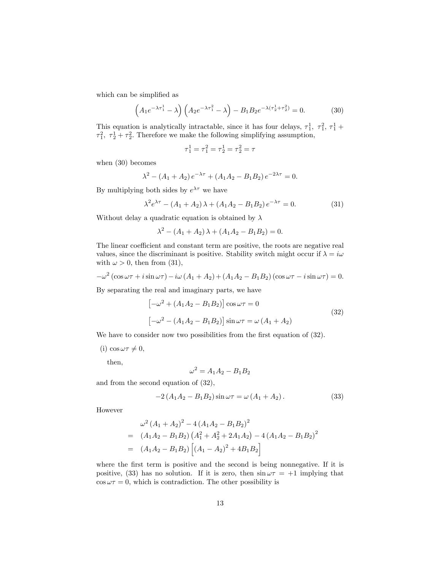which can be simplified as

$$
(A_1 e^{-\lambda \tau_1^1} - \lambda) \left( A_2 e^{-\lambda \tau_1^2} - \lambda \right) - B_1 B_2 e^{-\lambda (\tau_2^1 + \tau_2^2)} = 0.
$$
 (30)

This equation is analytically intractable, since it has four delays,  $\tau_1^1$ ,  $\tau_1^2$ ,  $\tau_1^1$  +  $\tau_1^2$ ,  $\tau_2^1 + \tau_2^2$ . Therefore we make the following simplifying assumption,

$$
\tau_1^1 = \tau_1^2 = \tau_2^1 = \tau_2^2 = \tau
$$

when (30) becomes

$$
\lambda^{2} - (A_{1} + A_{2}) e^{-\lambda \tau} + (A_{1}A_{2} - B_{1}B_{2}) e^{-2\lambda \tau} = 0.
$$

By multiplying both sides by  $e^{\lambda \tau}$  we have

$$
\lambda^2 e^{\lambda \tau} - (A_1 + A_2) \lambda + (A_1 A_2 - B_1 B_2) e^{-\lambda \tau} = 0.
$$
 (31)

Without delay a quadratic equation is obtained by  $\lambda$ 

$$
\lambda^2 - (A_1 + A_2)\lambda + (A_1A_2 - B_1B_2) = 0.
$$

The linear coefficient and constant term are positive, the roots are negative real values, since the discriminant is positive. Stability switch might occur if  $\lambda = i\omega$ with  $\omega > 0$ , then from (31),

$$
-\omega^2\left(\cos\omega\tau+i\sin\omega\tau\right)-i\omega\left(A_1+A_2\right)+\left(A_1A_2-B_1B_2\right)\left(\cos\omega\tau-i\sin\omega\tau\right)=0.
$$

By separating the real and imaginary parts, we have

$$
[-\omega^2 + (A_1 A_2 - B_1 B_2)] \cos \omega \tau = 0
$$
  

$$
[-\omega^2 - (A_1 A_2 - B_1 B_2)] \sin \omega \tau = \omega (A_1 + A_2)
$$
 (32)

We have to consider now two possibilities from the first equation of (32).

(i)  $\cos \omega \tau \neq 0$ ,

then,

$$
\omega^2 = A_1 A_2 - B_1 B_2
$$

and from the second equation of (32),

$$
-2(A_1A_2 - B_1B_2)\sin \omega \tau = \omega (A_1 + A_2). \tag{33}
$$

However

$$
\omega^2 (A_1 + A_2)^2 - 4 (A_1 A_2 - B_1 B_2)^2
$$
  
=  $(A_1 A_2 - B_1 B_2) (A_1^2 + A_2^2 + 2 A_1 A_2) - 4 (A_1 A_2 - B_1 B_2)^2$   
=  $(A_1 A_2 - B_1 B_2) [(A_1 - A_2)^2 + 4 B_1 B_2]$ 

where the first term is positive and the second is being nonnegative. If it is positive, (33) has no solution. If it is zero, then  $\sin \omega \tau = +1$  implying that  $\cos \omega \tau = 0$ , which is contradiction. The other possibility is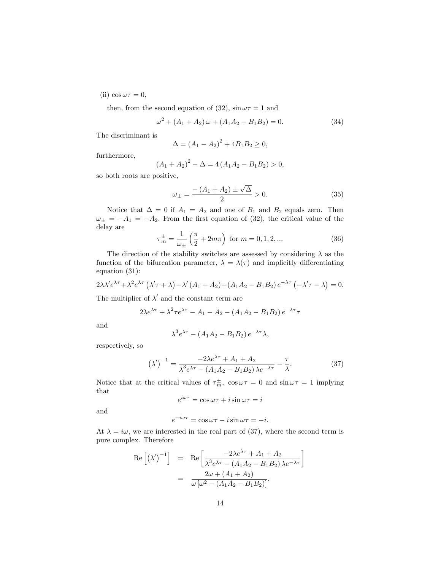(ii)  $\cos \omega \tau = 0$ ,

then, from the second equation of (32),  $\sin \omega \tau = 1$  and

$$
\omega^2 + (A_1 + A_2)\omega + (A_1A_2 - B_1B_2) = 0.
$$
 (34)

The discriminant is

$$
\Delta = (A_1 - A_2)^2 + 4B_1B_2 \ge 0,
$$

furthermore,

$$
(A_1 + A_2)^2 - \Delta = 4(A_1 A_2 - B_1 B_2) > 0,
$$

so both roots are positive,

$$
\omega_{\pm} = \frac{-(A_1 + A_2) \pm \sqrt{\Delta}}{2} > 0. \tag{35}
$$

Notice that  $\Delta = 0$  if  $A_1 = A_2$  and one of  $B_1$  and  $B_2$  equals zero. Then  $\omega_{\pm} = -A_1 = -A_2$ . From the first equation of (32), the critical value of the delay are

$$
\tau_m^{\pm} = \frac{1}{\omega_{\pm}} \left( \frac{\pi}{2} + 2m\pi \right) \text{ for } m = 0, 1, 2, ... \tag{36}
$$

The direction of the stability switches are assessed by considering  $\lambda$  as the function of the bifurcation parameter,  $\lambda = \lambda(\tau)$  and implicitly differentiating equation (31):

$$
2\lambda\lambda' e^{\lambda\tau} + \lambda^2 e^{\lambda\tau} \left( \lambda' \tau + \lambda \right) - \lambda' \left( A_1 + A_2 \right) + \left( A_1 A_2 - B_1 B_2 \right) e^{-\lambda\tau} \left( -\lambda' \tau - \lambda \right) = 0.
$$

The multiplier of  $\lambda'$  and the constant term are

$$
2\lambda e^{\lambda \tau} + \lambda^2 \tau e^{\lambda \tau} - A_1 - A_2 - (A_1 A_2 - B_1 B_2) e^{-\lambda \tau} \tau
$$

and

$$
\lambda^3 e^{\lambda \tau} - (A_1 A_2 - B_1 B_2) e^{-\lambda \tau} \lambda,
$$

respectively, so

$$
\left(\lambda'\right)^{-1} = \frac{-2\lambda e^{\lambda \tau} + A_1 + A_2}{\lambda^3 e^{\lambda \tau} - (A_1 A_2 - B_1 B_2) \lambda e^{-\lambda \tau}} - \frac{\tau}{\lambda}.
$$
\n(37)

Notice that at the critical values of  $\tau_m^{\pm}$ ,  $\cos \omega \tau = 0$  and  $\sin \omega \tau = 1$  implying that

$$
e^{i\omega\tau} = \cos\omega\tau + i\sin\omega\tau = i
$$

and

$$
e^{-i\omega\tau} = \cos\omega\tau - i\sin\omega\tau = -i.
$$

At  $\lambda = i\omega$ , we are interested in the real part of (37), where the second term is pure complex. Therefore

$$
\begin{array}{rcl} \text{Re}\left[\left(\lambda'\right)^{-1}\right] & = & \text{Re}\left[\frac{-2\lambda e^{\lambda\tau} + A_1 + A_2}{\lambda^3 e^{\lambda\tau} - (A_1 A_2 - B_1 B_2)\lambda e^{-\lambda\tau}}\right] \\ & = & \frac{2\omega + (A_1 + A_2)}{\omega \left[\omega^2 - (A_1 A_2 - B_1 B_2)\right]}.\end{array}
$$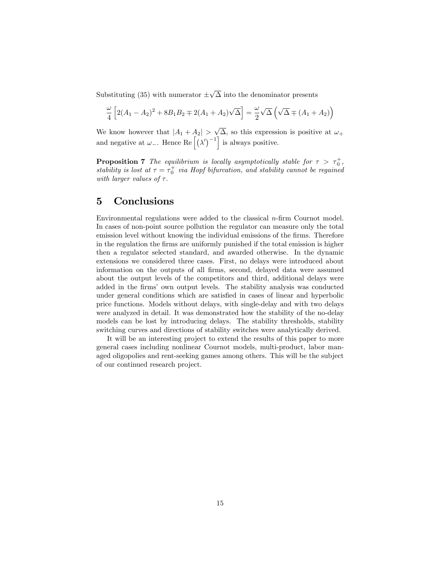Substituting (35) with numerator  $\pm\sqrt{\Delta}$  into the denominator presents

$$
\frac{\omega}{4}\left[2(A_1-A_2)^2+8B_1B_2\mp 2(A_1+A_2)\sqrt{\Delta}\right]=\frac{\omega}{2}\sqrt{\Delta}\left(\sqrt{\Delta}\mp(A_1+A_2)\right)
$$

We know however that  $|A_1 + A_2| > \sqrt{\Delta}$ , so this expression is positive at  $\omega_+$ and negative at  $\omega$ <sub>-</sub>. Hence Re  $\left[ \left( \lambda' \right)^{-1} \right]$  is always positive.

**Proposition 7** The equilibrium is locally asymptotically stable for  $\tau > \tau_0^+$ , stability is lost at  $\tau = \tau_0^+$  via Hopf bifurcation, and stability cannot be regained with larger values of  $\tau$ .

## 5 Conclusions

Environmental regulations were added to the classical  $n$ -firm Cournot model. In cases of non-point source pollution the regulator can measure only the total emission level without knowing the individual emissions of the firms. Therefore in the regulation the firms are uniformly punished if the total emission is higher then a regulator selected standard, and awarded otherwise. In the dynamic extensions we considered three cases. First, no delays were introduced about information on the outputs of all firms, second, delayed data were assumed about the output levels of the competitors and third, additional delays were added in the firms' own output levels. The stability analysis was conducted under general conditions which are satisfied in cases of linear and hyperbolic price functions. Models without delays, with single-delay and with two delays were analyzed in detail. It was demonstrated how the stability of the no-delay models can be lost by introducing delays. The stability thresholds, stability switching curves and directions of stability switches were analytically derived.

It will be an interesting project to extend the results of this paper to more general cases including nonlinear Cournot models, multi-product, labor managed oligopolies and rent-seeking games among others. This will be the subject of our continued research project.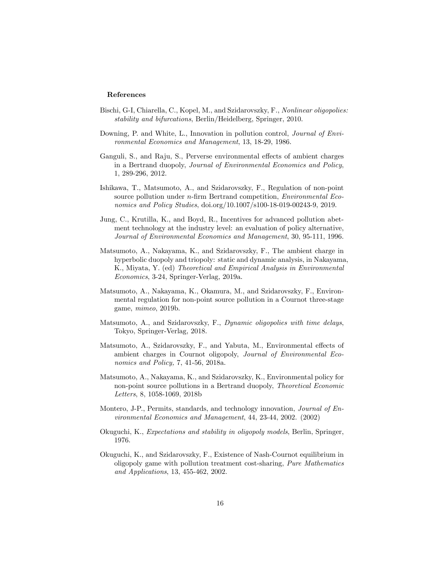#### References

- Bischi, G-I, Chiarella, C., Kopel, M., and Szidarovszky, F., Nonlinear oligopolies: stability and bifurcations, Berlin/Heidelberg, Springer, 2010.
- Downing, P. and White, L., Innovation in pollution control, *Journal of Envi*ronmental Economics and Management, 13, 18-29, 1986.
- Ganguli, S., and Raju, S., Perverse environmental effects of ambient charges in a Bertrand duopoly, Journal of Environmental Economics and Policy, 1, 289-296, 2012.
- Ishikawa, T., Matsumoto, A., and Szidarovszky, F., Regulation of non-point source pollution under  $n$ -firm Bertrand competition, *Environmental Eco*nomics and Policy Studies, doi.org/10.1007/s100-18-019-00243-9, 2019.
- Jung, C., Krutilla, K., and Boyd, R., Incentives for advanced pollution abetment technology at the industry level: an evaluation of policy alternative, Journal of Environmental Economics and Management, 30, 95-111, 1996.
- Matsumoto, A., Nakayama, K., and Szidarovszky, F., The ambient charge in hyperbolic duopoly and triopoly: static and dynamic analysis, in Nakayama, K., Miyata, Y. (ed) Theoretical and Empirical Analysis in Environmental Economics, 3-24, Springer-Verlag, 2019a.
- Matsumoto, A., Nakayama, K., Okamura, M., and Szidarovszky, F., Environmental regulation for non-point source pollution in a Cournot three-stage game, mimeo, 2019b.
- Matsumoto, A., and Szidarovszky, F., Dynamic oligopolies with time delays, Tokyo, Springer-Verlag, 2018.
- Matsumoto, A., Szidarovszky, F., and Yabuta, M., Environmental effects of ambient charges in Cournot oligopoly, Journal of Environmental Economics and Policy, 7, 41-56, 2018a.
- Matsumoto, A., Nakayama, K., and Szidarovszky, K., Environmental policy for non-point source pollutions in a Bertrand duopoly, Theoretical Economic Letters, 8, 1058-1069, 2018b
- Montero, J-P., Permits, standards, and technology innovation, *Journal of En*vironmental Economics and Management, 44, 23-44, 2002. (2002)
- Okuguchi, K., Expectations and stability in oligopoly models, Berlin, Springer, 1976.
- Okuguchi, K., and Szidarovszky, F., Existence of Nash-Cournot equilibrium in oligopoly game with pollution treatment cost-sharing, Pure Mathematics and Applications, 13, 455-462, 2002.